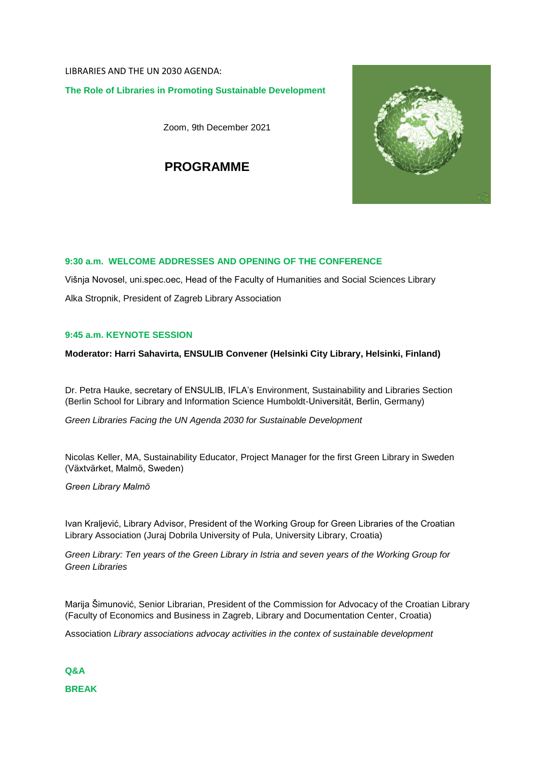LIBRARIES AND THE UN 2030 AGENDA: **The Role of Libraries in Promoting Sustainable Development**

Zoom, 9th December 2021

**PROGRAMME**



# **9:30 a.m. WELCOME ADDRESSES AND OPENING OF THE CONFERENCE**

Višnja Novosel, uni.spec.oec, Head of the Faculty of Humanities and Social Sciences Library Alka Stropnik, President of Zagreb Library Association

## **9:45 a.m. KEYNOTE SESSION**

## **Moderator: Harri Sahavirta, ENSULIB Convener (Helsinki City Library, Helsinki, Finland)**

Dr. Petra Hauke, secretary of ENSULIB, IFLA's Environment, Sustainability and Libraries Section (Berlin School for Library and Information Science Humboldt-Universität, Berlin, Germany)

*Green Libraries Facing the UN Agenda 2030 for Sustainable Development*

Nicolas Keller, MA, Sustainability Educator, Project Manager for the first Green Library in Sweden (Växtvärket, Malmö, Sweden)

*Green Library Malmö*

Ivan Kraljević, Library Advisor, President of the Working Group for Green Libraries of the Croatian Library Association (Juraj Dobrila University of Pula, University Library, Croatia)

*Green Library: Ten years of the Green Library in Istria and seven years of the Working Group for Green Libraries*

Marija Šimunović, Senior Librarian, President of the Commission for Advocacy of the Croatian Library (Faculty of Economics and Business in Zagreb, Library and Documentation Center, Croatia)

Association *Library associations advocay activities in the contex of sustainable development*

**Q&A BREAK**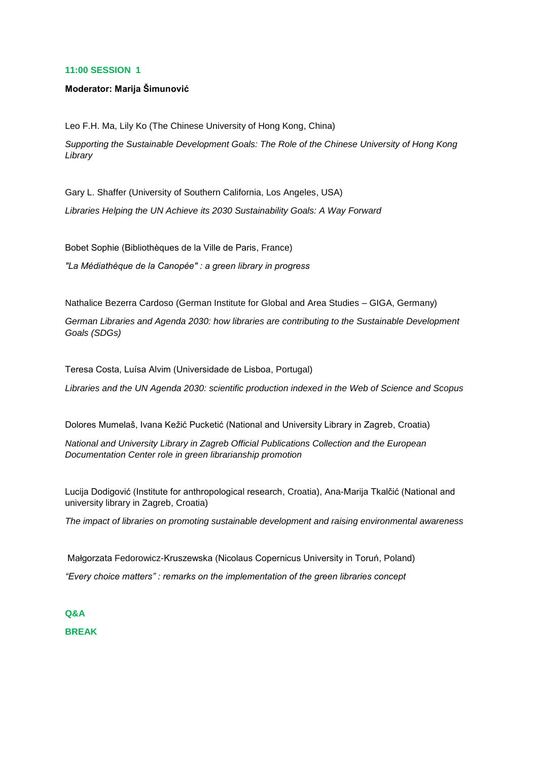### **11:00 SESSION 1**

#### **Moderator: Marija Šimunović**

Leo F.H. Ma, Lily Ko (The Chinese University of Hong Kong, China)

*Supporting the Sustainable Development Goals: The Role of the Chinese University of Hong Kong Library*

Gary L. Shaffer (University of Southern California, Los Angeles, USA)

*Libraries Helping the UN Achieve its 2030 Sustainability Goals: A Way Forward*

Bobet Sophie (Bibliothèques de la Ville de Paris, France)

*"La Médiathèque de la Canopée" : a green library in progress*

Nathalice Bezerra Cardoso (German Institute for Global and Area Studies – GIGA, Germany)

*German Libraries and Agenda 2030: how libraries are contributing to the Sustainable Development Goals (SDGs)*

Teresa Costa, Luísa Alvim (Universidade de Lisboa, Portugal)

*Libraries and the UN Agenda 2030: scientific production indexed in the Web of Science and Scopus*

Dolores Mumelaš, Ivana Kežić Pucketić (National and University Library in Zagreb, Croatia)

*National and University Library in Zagreb Official Publications Collection and the European Documentation Center role in green librarianship promotion*

Lucija Dodigović (Institute for anthropological research, Croatia), Ana-Marija Tkalčić (National and university library in Zagreb, Croatia)

*The impact of libraries on promoting sustainable development and raising environmental awareness*

Małgorzata Fedorowicz-Kruszewska (Nicolaus Copernicus University in Toruń, Poland) *"Every choice matters" : remarks on the implementation of the green libraries concept*

**Q&A BREAK**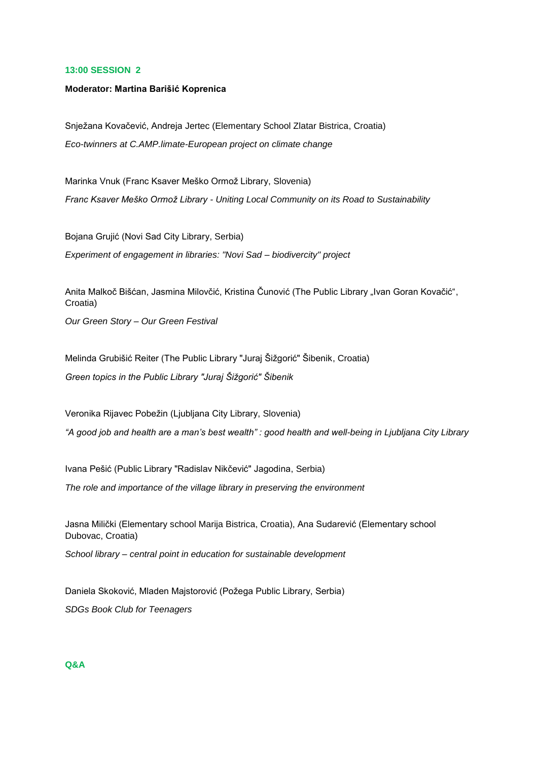#### **13:00 SESSION 2**

#### **Moderator: Martina Barišić Koprenica**

Snježana Kovačević, Andreja Jertec (Elementary School Zlatar Bistrica, Croatia) *Eco-twinners at C.AMP.limate-European project on climate change*

Marinka Vnuk (Franc Ksaver Meško Ormož Library, Slovenia) *Franc Ksaver Meško Ormož Library - Uniting Local Community on its Road to Sustainability*

Bojana Grujić (Novi Sad City Library, Serbia) *Experiment of engagement in libraries: "Novi Sad – biodivercity" project*

Anita Malkoč Bišćan, Jasmina Milovčić, Kristina Čunović (The Public Library "Ivan Goran Kovačić", Croatia)

*Our Green Story – Our Green Festival*

Melinda Grubišić Reiter (The Public Library "Juraj Šižgorić" Šibenik, Croatia) *Green topics in the Public Library "Juraj Šižgorić" Šibenik*

Veronika Rijavec Pobežin (Ljubljana City Library, Slovenia) *"A good job and health are a man's best wealth" : good health and well-being in Ljubljana City Library*

Ivana Pešić (Public Library "Radislav Nikčević" Jagodina, Serbia) *The role and importance of the village library in preserving the environment*

Jasna Milički (Elementary school Marija Bistrica, Croatia), Ana Sudarević (Elementary school Dubovac, Croatia)

*School library – central point in education for sustainable development*

Daniela Skoković, Mladen Majstorović (Požega Public Library, Serbia) *SDGs Book Club for Teenagers*

### **Q&A**